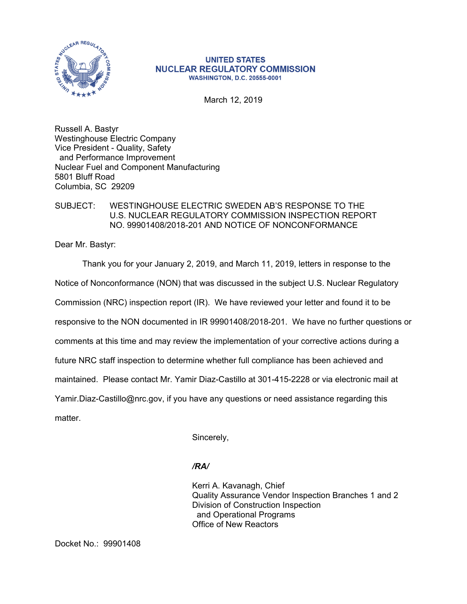

## **UNITED STATES NUCLEAR REGULATORY COMMISSION WASHINGTON, D.C. 20555-0001**

March 12, 2019

Russell A. Bastyr Westinghouse Electric Company Vice President - Quality, Safety and Performance Improvement Nuclear Fuel and Component Manufacturing 5801 Bluff Road Columbia, SC 29209

## SUBJECT: WESTINGHOUSE ELECTRIC SWEDEN AB'S RESPONSE TO THE U.S. NUCLEAR REGULATORY COMMISSION INSPECTION REPORT NO. 99901408/2018-201 AND NOTICE OF NONCONFORMANCE

Dear Mr. Bastyr:

Thank you for your January 2, 2019, and March 11, 2019, letters in response to the Notice of Nonconformance (NON) that was discussed in the subject U.S. Nuclear Regulatory Commission (NRC) inspection report (IR). We have reviewed your letter and found it to be responsive to the NON documented in IR 99901408/2018-201. We have no further questions or comments at this time and may review the implementation of your corrective actions during a future NRC staff inspection to determine whether full compliance has been achieved and maintained. Please contact Mr. Yamir Diaz-Castillo at 301-415-2228 or via electronic mail at Yamir.Diaz-Castillo@nrc.gov, if you have any questions or need assistance regarding this matter.

Sincerely,

## */RA/*

Kerri A. Kavanagh, Chief Quality Assurance Vendor Inspection Branches 1 and 2 Division of Construction Inspection and Operational Programs Office of New Reactors

Docket No.: 99901408